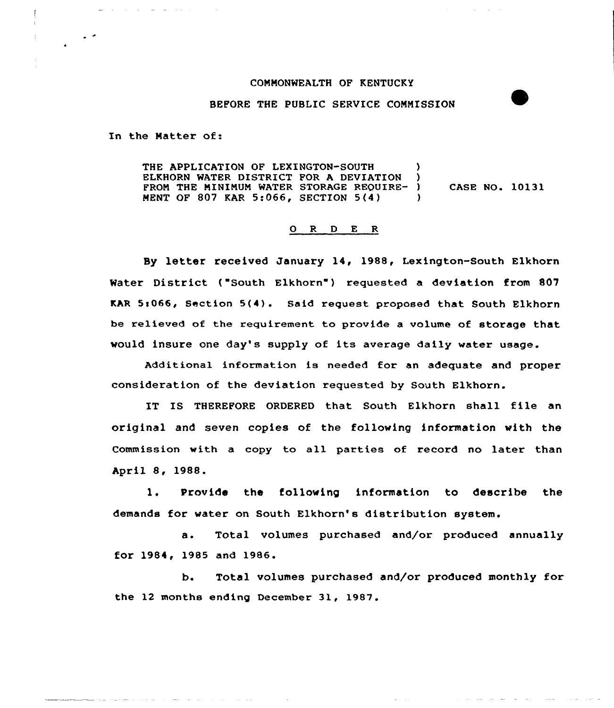## COMMONWEALTH OF KENTUCKY

## BEFORE THE PUBLIC SERVICE COMMISSION

In the Natter of:

THE APPLICATION OF LEXINGTON-SOUTH )<br>ELEBORN WATER DISTRICT FOR A DEVIATION ) ELKHORN WATER DISTRICT FOR A DEVIATION FROM THE MINIMUM WATER STORAGE REQUIRE- ) CASE NO. 10131 MENT OF 807 KAR 5:066, SECTION 5(4)  $\lambda$ 

## 0 R <sup>D</sup> E R

Sy letter received January 14, 1988, Lexington-south Elkhorn Water District ("South Elkhorn") requested a deviation from 807 KAR 5s066, Section 5(4). Said request proposed that South Elkhorn be relieved of the requirement to provide a volume of storage that would insure one day's supply of its average daily water usage.

Additional information is needed for an adequate and proper consideration of the deviation requested by South Elkhorn.

IT IS THEREFORE ORDERED that South Elkhorn shall file an original and seven copies of the following information with the Commission with a copy to all parties of record no later than April 8, 1988.

l. Provide the following information to describe the demands for water on South Elkhorn's distribution system.

a. Total volumes purchased and/or produced annually for 1984, 1985 and 1986.

b. Total volumes purchased and/or produced monthly for the 12 months ending December 31, 1987.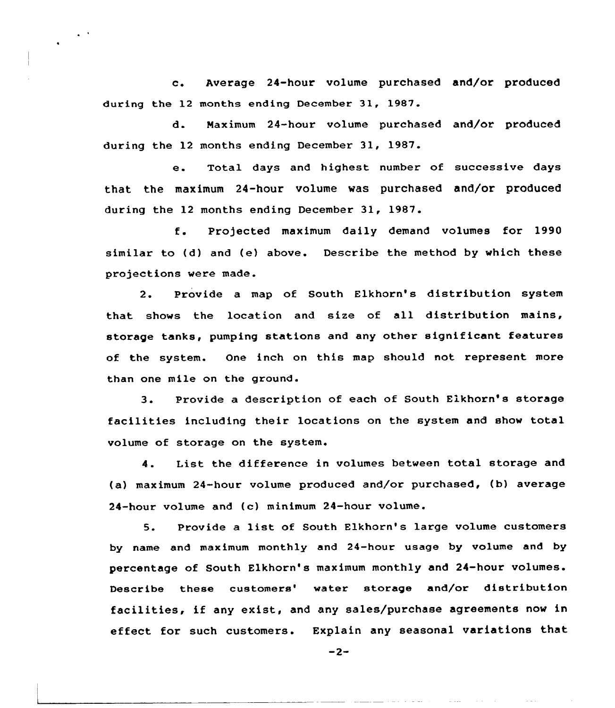c. Average 24-hour volume purchased and/or produced during the 12 months ending December 31, 1987.

 $\epsilon$  .  $\epsilon$ 

d. Maximum 24-hour volume purchased and/or produced during the 12 months ending December 31, 1987.

e. Total days and highest number of successive days that the maximum 24-hour volume was purchased and/or produced during the 12 months ending December 31, 1987.

f. Projected maximum daily demand volumes for <sup>1990</sup> similar to (d) and (e) above. Describe the method by which these projections were made.

2. Provide a map of South Elkhorn's distribution system that shows the location and size of all distribution mains, storage tanks, pumping stations and any other significant features of the system. One inch on this map should not represent more than one mile on the ground.

3. Provide <sup>a</sup> description of each of South Elkhorn's storage facilities including their locations on the system and show total volume of storage on the system.

4. List the difference in volumes betveen total storage and (a) maximum 24-hour volume produced and/or purchased, (b) average 24-hour volume and (c) minimum 24-hour volume.

5. Provide <sup>a</sup> list of South Elkhorn's large volume customers by name and maximum monthly and 24-hour usage by volume and by percentage of South Elkhorn's maximum monthly and 24-hour volumes. Describe these customers' water storage and/or distribution facilities, if any exist, and any sales/purchase agreements now in effect for such customers. Explain any seasonal variations that

 $-2-$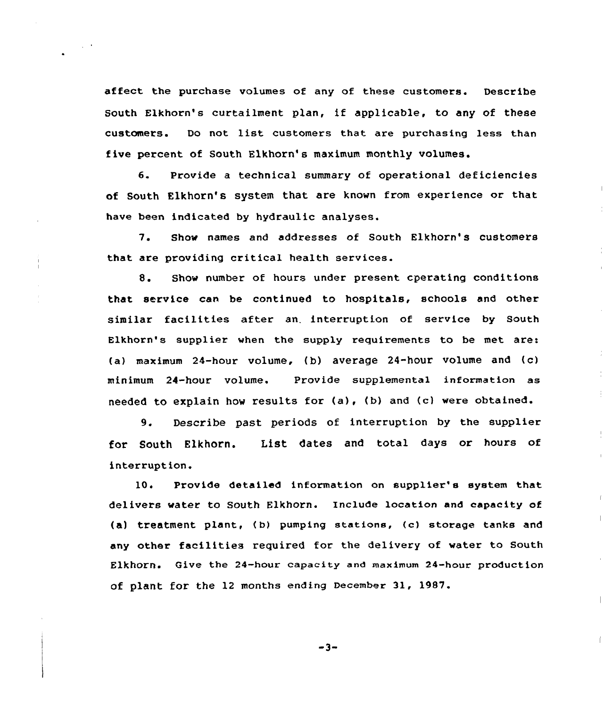affect the purchase volumes of any of these customers. Describe South Elkhorn's curtailment plan, if applicable, to any of these customers. Do not list customers that are purchasing less than five percent of South Elkhorn's maximum monthly volumes.

6. Provide a technical summary of operational deficiencies of South Elkhorn's system that are known from experience or that have been indicated by hydraulic analyses.

7. Show names and addresses of South Elkhorn's customers that are providing critical health services.

8. Show number of hours under present cperating conditions that service can be continued to hospitals, schools and other similar facilities after an. interruption of service by South Elkhorn's supplier when the supply requirements to be met are: (a) maximum 24-hour volume, (b) average 24-hour volume and (c) minimum 24-hour volume. Provide supplemental information as needed to explain how results for (a), (b) and {c) were obtained.

9. Describe past periods of interruption by the supplier for South Elkhorn. List dates and total days or hours of interruption.

10. Provide detailed information on supplier's system that delivers water to South Elkhorn. Include location and capacity of (a) treatment plant, (b) pumping stations, (c) storage tanks and any other facilities required for the delivery of water to South Elkhorn. Give the 24-hour capacity and maximum 24-hour production of plant for the 12 months ending December 31, 1987.

 $\|$ 

 $-3-$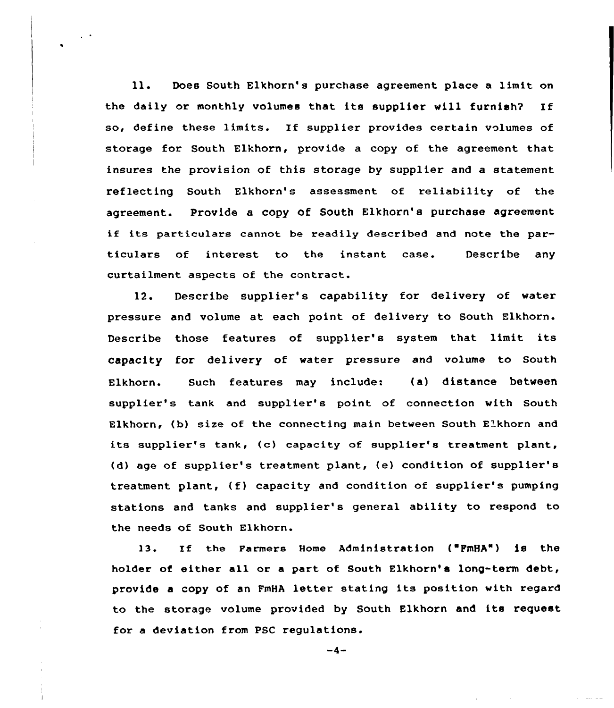ll. Does South Elkhorn's purchase agreement place <sup>a</sup> limit on the daily or monthly volumes that its supplier will furnish? If so, define these limits. If supplier provides certain volumes of storage for South Elkhorn, provide a copy of the agreement that insures the provision of this storage by supplier and a statement reflecting South Elkhorn's assessment of reliability of the agreement. Provide a copy of South Elkhorn's purchase agreement if its particulars cannot be readily described and note the particulars of interest to the instant case. Describe any curtailment aspects of the contract.

12. Describe supplier's capability for delivery of water pressure and volume at each point of delivery to South Elkhorn. Describe those features of supplier's system that limit its capacity for delivery of water pressure and volume to South Elkhorn. Such features may include: (a) distance between supplier's tank and supplier's point of connection with South Elkhorn, (b) size of the connecting main between South Elkhorn and its supplier's tank, (c) capacity of supplier's treatment plant, (d) age of supplier's treatment plant, (e) condition of supplier'8 treatment plant, (f) capacity and condition of supplier's pumping stations and tanks and supplier's general ability to respond to the needs of South Elkhorn.

13. If the Farmers Home Administration ( FmHA") is the holder of either all or a part of South Elkhorn's long-term debt, provide <sup>a</sup> copy of an FmHA letter stating its position with regard to the storage volume provided by South Elkhorn and its request for a deviation from PSC regulations.

 $-4-$